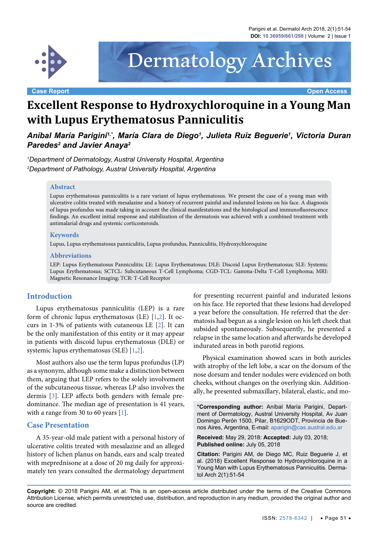

#### **Case Report Open Access**

# Dermatology Archives

# **Excellent Response to Hydroxychloroquine in a Young Man with Lupus Erythematosus Panniculitis**

Aníbal María Parigini<sup>1,</sup>\*, María Clara de Diego<sup>1</sup>, Julieta Ruiz Beguerie<sup>1</sup>, Victoria Duran *Paredes2 and Javier Anaya2*

*1 Department of Dermatology, Austral University Hospital, Argentina 2 Department of Pathology, Austral University Hospital, Argentina*

#### **Abstract**

Lupus erythematosus panniculitis is a rare variant of lupus erythematosus. We present the case of a young man with ulcerative colitis treated with mesalazine and a history of recurrent painful and indurated lesions on his face. A diagnosis of lupus profundus was made taking in account the clinical manifestations and the histological and immunofluorescence findings. An excellent initial response and stabilization of the dermatosis was achieved with a combined treatment with antimalarial drugs and systemic corticosteroids.

#### **Keywords**

Lupus, Lupus erythematosus panniculitis, Lupus profundus, Panniculitis, Hydroxychloroquine

#### **Abbreviations**

LEP: Lupus Erythematosus Panniculitis; LE: Lupus Erythematosus; DLE: Discoid Lupus Erythematosus; SLE: Systemic Lupus Erythematosus; SCTCL: Subcutaneous T-Cell Lymphoma; CGD-TCL: Gamma-Delta T-Cell Lymphoma; MRI: Magnetic Resonance Imaging; TCR: T-Cell Receptor

## **Introduction**

Lupus erythematosus panniculitis (LEP) is a rare form of chronic lupus erythematosus (LE) [\[1,](#page-3-0)[2](#page-3-1)]. It occurs in 1-3% of patients with cutaneous LE [[2\]](#page-3-1). It can be the only manifestation of this entity or it may appear in patients with discoid lupus erythematosus (DLE) or systemic lupus erythematosus (SLE) [[1](#page-3-0),[2\]](#page-3-1).

Most authors also use the term lupus profundus (LP) as a synonym, although some make a distinction between them, arguing that LEP refers to the solely involvement of the subcutaneous tissue, whereas LP also involves the dermis [\[3](#page-3-2)]. LEP affects both genders with female predominance. The median age of presentation is 41 years, with a range from 30 to 60 years [\[1\]](#page-3-0).

#### **Case Presentation**

A 35-year-old male patient with a personal history of ulcerative colitis treated with mesalazine and an alleged history of lichen planus on hands, ears and scalp treated with meprednisone at a dose of 20 mg daily for approximately ten years consulted the dermatology department

for presenting recurrent painful and indurated lesions on his face. He reported that these lesions had developed a year before the consultation. He referred that the dermatosis had begun as a single lesion on his left cheek that subsided spontaneously. Subsequently, he presented a relapse in the same location and afterwards he developed indurated areas in both parotid regions.

Physical examination showed scars in both auricles with atrophy of the left lobe, a scar on the dorsum of the nose dorsum and tender nodules were evidenced on both cheeks, without changes on the overlying skin. Additionally, he presented submaxillary, bilateral, elastic, and mo-

**\*Corresponding author:** Aníbal María Parigini, Department of Dermatology, Austral University Hospital, Av Juan Domingo Perón 1500, Pilar, B1629ODT, Provincia de Buenos Aires, Argentina, E-mail: aparigin@cas.austral.edu.ar

**Received:** May 29, 2018: **Accepted:** July 03, 2018; **Published online:** July 05, 2018

**Citation:** Parigini AM, de Diego MC, Ruiz Beguerie J, et al. (2018) Excellent Response to Hydroxychloroquine in a Young Man with Lupus Erythematosus Panniculitis. Dermatol Arch 2(1):51-54

**Copyright:** © 2018 Parigini AM, et al. This is an open-access article distributed under the terms of the Creative Commons Attribution License, which permits unrestricted use, distribution, and reproduction in any medium, provided the original author and source are credited.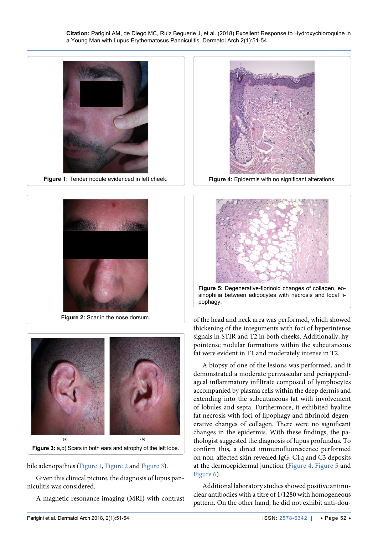<span id="page-1-3"></span>Ĩ

<span id="page-1-0"></span>

<span id="page-1-1"></span>Ī





<span id="page-1-2"></span>

bile adenopathies ([Figure 1,](#page-1-0) [Figure 2](#page-1-1) and [Figure 3](#page-1-2)).

Given this clinical picture, the diagnosis of lupus panniculitis was considered.

A magnetic resonance imaging (MRI) with contrast



**Figure 4:** Epidermis with no significant alterations.

<span id="page-1-4"></span>

of the head and neck area was performed, which showed thickening of the integuments with foci of hyperintense signals in STIR and T2 in both cheeks. Additionally, hypointense nodular formations within the subcutaneous fat were evident in T1 and moderately intense in T2.

A biopsy of one of the lesions was performed, and it demonstrated a moderate perivascular and periappendageal inflammatory infiltrate composed of lymphocytes accompanied by plasma cells within the deep dermis and extending into the subcutaneous fat with involvement of lobules and septa. Furthermore, it exhibited hyaline fat necrosis with foci of lipophagy and fibrinoid degenerative changes of collagen. There were no significant changes in the epidermis. With these findings, the pathologist suggested the diagnosis of lupus profundus. To confirm this, a direct immunofluorescence performed on non-affected skin revealed IgG, C1q and C3 deposits at the dermoepidermal junction ([Figure 4,](#page-1-3) [Figure 5](#page-1-4) and [Figure 6](#page-2-0)).

Additional laboratory studies showed positive antinuclear antibodies with a titre of 1/1280 with homogeneous pattern. On the other hand, he did not exhibit anti-dou-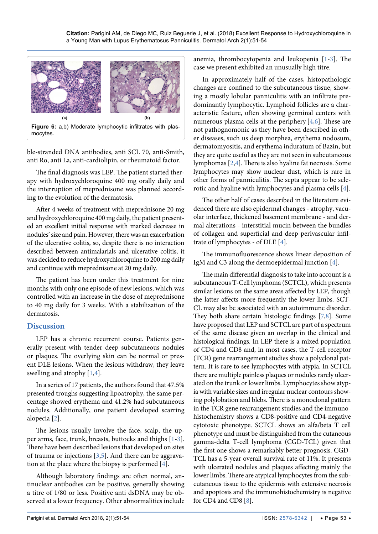<span id="page-2-0"></span>

ble-stranded DNA antibodies, anti SCL 70, anti-Smith, anti Ro, anti La, anti-cardiolipin, or rheumatoid factor.

The final diagnosis was LEP. The patient started therapy with hydroxychloroquine 400 mg orally daily and the interruption of meprednisone was planned according to the evolution of the dermatosis.

After 4 weeks of treatment with meprednisone 20 mg and hydroxychloroquine 400 mg daily, the patient presented an excellent initial response with marked decrease in nodules' size and pain. However, there was an exacerbation of the ulcerative colitis, so, despite there is no interaction described between antimalarials and ulcerative colitis, it was decided to reduce hydroxychloroquine to 200 mg daily and continue with meprednisone at 20 mg daily.

The patient has been under this treatment for nine months with only one episode of new lesions, which was controlled with an increase in the dose of meprednisone to 40 mg daily for 3 weeks. With a stabilization of the dermatosis.

# **Discussion**

LEP has a chronic recurrent course. Patients generally present with tender deep subcutaneous nodules or plaques. The overlying skin can be normal or present DLE lesions. When the lesions withdraw, they leave swelling and atrophy [[1](#page-3-0),[4](#page-3-3)].

In a series of 17 patients, the authors found that 47.5% presented troughs suggesting lipoatrophy, the same percentage showed erythema and 41.2% had subcutaneous nodules. Additionally, one patient developed scarring alopecia [[2](#page-3-1)].

The lesions usually involve the face, scalp, the upper arms, face, trunk, breasts, buttocks and thighs [[1](#page-3-0)[-3](#page-3-2)]. There have been described lesions that developed on sites of trauma or injections [\[3,](#page-3-2)[5](#page-3-7)]. And there can be aggravation at the place where the biopsy is performed [\[4](#page-3-3)].

Although laboratory findings are often normal, antinuclear antibodies can be positive, generally showing a titre of 1/80 or less. Positive anti dsDNA may be observed at a lower frequency. Other abnormalities include anemia, thrombocytopenia and leukopenia [[1-](#page-3-0)[3](#page-3-2)]. The case we present exhibited an unusually high titre.

In approximately half of the cases, histopathologic changes are confined to the subcutaneous tissue, showing a mostly lobular panniculitis with an infiltrate predominantly lymphocytic. Lymphoid follicles are a characteristic feature, often showing germinal centers with numerous plasma cells at the periphery [[4](#page-3-3),[6\]](#page-3-4). These are not pathognomonic as they have been described in other diseases, such us deep morphea, erythema nodosum, dermatomyositis, and erythema induratum of Bazin, but they are quite useful as they are not seen in subcutaneous lymphomas [[2](#page-3-1)[,4\]](#page-3-3). There is also hyaline fat necrosis. Some lymphocytes may show nuclear dust, which is rare in other forms of panniculitis. The septa appear to be sclerotic and hyaline with lymphocytes and plasma cells [\[4\]](#page-3-3).

The other half of cases described in the literature evidenced there are also epidermal changes - atrophy, vacuolar interface, thickened basement membrane - and dermal alterations - interstitial mucin between the bundles of collagen and superficial and deep perivascular infiltrate of lymphocytes - of DLE [[4\]](#page-3-3).

The immunofluorescence shows linear deposition of IgM and C3 along the dermoepidermal junction [\[4\]](#page-3-3).

The main differential diagnosis to take into account is a subcutaneous T-Cell lymphoma (SCTCL), which presents similar lesions on the same areas affected by LEP, though the latter affects more frequently the lower limbs. SCT-CL may also be associated with an autoimmune disorder. They both share certain histologic findings [\[7,](#page-3-5)[8](#page-3-6)]. Some have proposed that LEP and SCTCL are part of a spectrum of the same disease given an overlap in the clinical and histological findings. In LEP there is a mixed population of CD4 and CD8 and, in most cases, the T-cell receptor (TCR) gene rearrangement studies show a polyclonal pattern. It is rare to see lymphocytes with atypia. In SCTCL there are multiple painless plaques or nodules rarely ulcerated on the trunk or lower limbs. Lymphocytes show atypia with variable sizes and irregular nuclear contours showing polylobation and blebs. There is a monoclonal pattern in the TCR gene rearrangement studies and the immunohistochemistry shows a CD8-positive and CD4-negative cytotoxic phenotype. SCTCL shows an alfa/beta T cell phenotype and must be distinguished from the cutaneous gamma-delta T-cell lymphoma (CGD-TCL) given that the first one shows a remarkably better prognosis. CGD-TCL has a 5-year overall survival rate of 11%. It presents with ulcerated nodules and plaques affecting mainly the lower limbs. There are atypical lymphocytes from the subcutaneous tissue to the epidermis with extensive necrosis and apoptosis and the immunohistochemistry is negative for CD4 and CD8 [[8\]](#page-3-6).